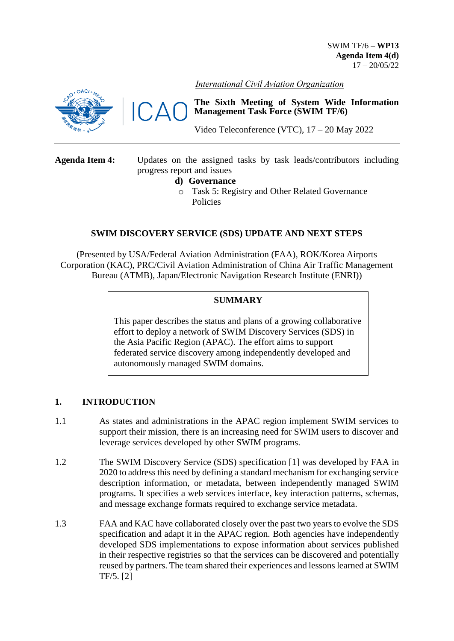SWIM TF/6 – **WP13 Agenda Item 4(d)**  $17 - 20/05/22$ 



 $\Delta$ 

*International Civil Aviation Organization*

**The Sixth Meeting of System Wide Information Management Task Force (SWIM TF/6)**

Video Teleconference (VTC), 17 – 20 May 2022

**Agenda Item 4:** Updates on the assigned tasks by task leads/contributors including progress report and issues **d) Governance** o Task 5: Registry and Other Related Governance Policies

# **SWIM DISCOVERY SERVICE (SDS) UPDATE AND NEXT STEPS**

(Presented by USA/Federal Aviation Administration (FAA), ROK/Korea Airports Corporation (KAC), PRC/Civil Aviation Administration of China Air Traffic Management Bureau (ATMB), Japan/Electronic Navigation Research Institute (ENRI))

# **SUMMARY**

This paper describes the status and plans of a growing collaborative effort to deploy a network of SWIM Discovery Services (SDS) in the Asia Pacific Region (APAC). The effort aims to support federated service discovery among independently developed and autonomously managed SWIM domains.

## **1. INTRODUCTION**

- 1.1 As states and administrations in the APAC region implement SWIM services to support their mission, there is an increasing need for SWIM users to discover and leverage services developed by other SWIM programs.
- 1.2 The SWIM Discovery Service (SDS) specification [\[1\]](#page-5-0) was developed by FAA in 2020 to address this need by defining a standard mechanism for exchanging service description information, or metadata, between independently managed SWIM programs. It specifies a web services interface, key interaction patterns, schemas, and message exchange formats required to exchange service metadata.
- 1.3 FAA and KAC have collaborated closely over the past two years to evolve the SDS specification and adapt it in the APAC region. Both agencies have independently developed SDS implementations to expose information about services published in their respective registries so that the services can be discovered and potentially reused by partners. The team shared their experiences and lessons learned at SWIM TF/5. [\[2\]](#page-5-1)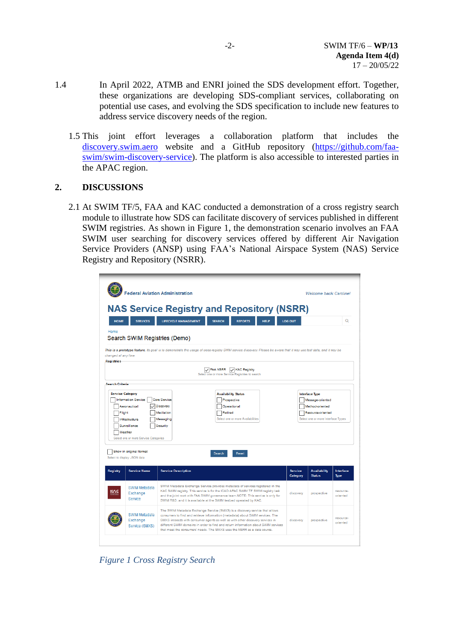- 1.4 In April 2022, ATMB and ENRI joined the SDS development effort. Together, these organizations are developing SDS-compliant services, collaborating on potential use cases, and evolving the SDS specification to include new features to address service discovery needs of the region.
	- 1.5 This joint effort leverages a collaboration platform that includes the [discovery.swim.aero](https://discovery.swim.aero/) website and a GitHub repository [\(https://github.com/faa](https://github.com/faa-swim/swim-discovery-service)[swim/swim-discovery-service\)](https://github.com/faa-swim/swim-discovery-service). The platform is also accessible to interested parties in the APAC region.

# **2. DISCUSSIONS**

2.1 At SWIM TF/5, FAA and KAC conducted a demonstration of a cross registry search module to illustrate how SDS can facilitate discovery of services published in different SWIM registries. As shown in Figure 1, the demonstration scenario involves an FAA SWIM user searching for discovery services offered by different Air Navigation Service Providers (ANSP) using FAA's National Airspace System (NAS) Service Registry and Repository (NSRR).

| <b>Welcome back Caroline!</b>                                                                  |                                                                                                                                                                                                                                                                                                                                                                                                                                  | <b>Federal Aviation Administration</b>                                                                                                                                                          |                   |  |  |  |  |
|------------------------------------------------------------------------------------------------|----------------------------------------------------------------------------------------------------------------------------------------------------------------------------------------------------------------------------------------------------------------------------------------------------------------------------------------------------------------------------------------------------------------------------------|-------------------------------------------------------------------------------------------------------------------------------------------------------------------------------------------------|-------------------|--|--|--|--|
| $\mathsf Q$                                                                                    | <b>NAS Service Registry and Repository (NSRR)</b><br><b>LIFECYCLE MANAGEMENT</b><br><b>REPORTS</b><br><b>LOG OUT</b><br><b>SEARCH</b><br><b>HELP</b>                                                                                                                                                                                                                                                                             | <b>HOME</b><br><b>SERVICES</b><br>Search SWIM Registries (Demo)                                                                                                                                 | Home              |  |  |  |  |
|                                                                                                | This is a prototype feature. Its goal is to demonstrate the usage of cross-registry SWIM service discovery. Please be aware that it may use test data, and it may be<br>$\cup$ FAA NSRR<br><b>KAC Registry</b><br>M<br>Select one or more Service Registries to search                                                                                                                                                           | changed at any time.                                                                                                                                                                            | <b>Registries</b> |  |  |  |  |
| Message-oriented<br>Method-oriented<br>Resource-oriented<br>Select one or more Interface Types | <b>Availability Status</b><br><b>Interface Type</b><br><b>Core Service</b><br>Prospective<br>Discovery<br>Operational<br>Mediation<br>Retired<br>Select one or more Availabilities<br>Messaging<br>Security                                                                                                                                                                                                                      | <b>Search Criteria</b><br><b>Service Category</b><br><b>Information Service</b><br>Aeronautical<br>Flight<br>Infrastructure<br>Surveillance<br>Weather<br>Select one or more Service Categories |                   |  |  |  |  |
| <b>Availability</b><br>Interface<br><b>Status</b>                                              | Reset<br>Search<br><b>Service Description</b><br><b>Service</b>                                                                                                                                                                                                                                                                                                                                                                  | Show in original format<br>Select to display JSON data<br><b>Service Name</b>                                                                                                                   | Registry          |  |  |  |  |
| resource-<br>prospective<br>oriented                                                           | SWIM Metadata Exchange Service provides metadata of services registered in the<br>KAC SWIM registry. This service is for the ICAO APAC SWIM TF SWIM registry task<br>discovery<br>and the joint work with FAA SWIM governance team.NOTE: This service is only for<br>SWIM R&D, and it is available at the SWIM testbed operated by KAC.                                                                                          | <b>SWIM Metadata</b><br>Exchange<br>Service                                                                                                                                                     |                   |  |  |  |  |
| resource-<br>prospective<br>oriented                                                           | The SWIM Metadata Exchange Service (SMXS) is a discovery service that allows<br>consumers to find and retrieve information (metadata) about SWIM services. The<br>SMXS interacts with consumer agents as well as with other discovery services in<br>discovery<br>different SWIM domains in order to find and return information about SWIM services<br>that meet the consumers' needs. The SMXS uses the NSRR as a data source. | <b>SWIM Metadata</b><br>Exchange<br>Service (SMXS)                                                                                                                                              |                   |  |  |  |  |
| <b>Type</b>                                                                                    | Category                                                                                                                                                                                                                                                                                                                                                                                                                         |                                                                                                                                                                                                 |                   |  |  |  |  |

*Figure 1 Cross Registry Search*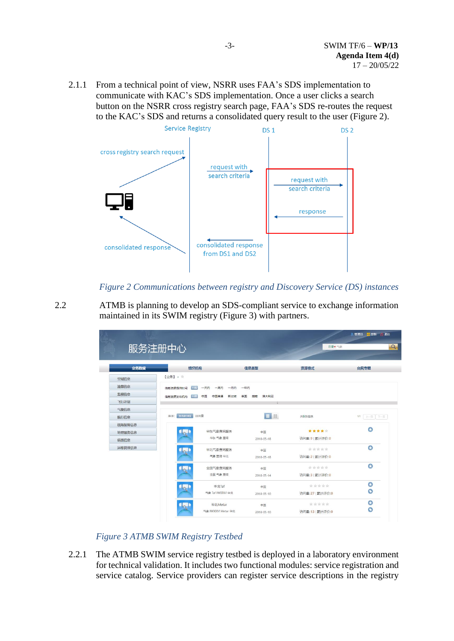2.1.1 From a technical point of view, NSRR uses FAA's SDS implementation to communicate with KAC's SDS implementation. Once a user clicks a search button on the NSRR cross registry search page, FAA's SDS re-routes the request to the KAC's SDS and returns a consolidated query result to the user (Figure 2).



*Figure 2 Communications between registry and Discovery Service (DS) instances*

2.2 ATMB is planning to develop an SDS-compliant service to exchange information maintained in its SWIM registry (Figure 3) with partners.

|        | 服务注册中心                         |                         | 目录▼气象             |                |
|--------|--------------------------------|-------------------------|-------------------|----------------|
| 业务数据   | 组织机构                           | 信息类型                    | 资源格式              | 台风专题           |
| 空域信息   | 【业务】> 章                        |                         |                   |                |
| 流量信息   | 不思 一天内 一周内 一月内 一年内<br>信息咨源提供时间 |                         |                   |                |
| 监视信息   | 中国<br>中国香港<br>信息资源发布机构<br>不限   | 越南<br>澳大利亚<br>新加坡<br>泰田 |                   |                |
| 飞行计划   |                                |                         |                   |                |
| 气象信息   |                                |                         |                   |                |
| 航行信息   | 排序: 发布时间!<br>访问量               | 目に                      | 共5条信息             | 上一页 下一页<br>1/1 |
| 机场保障信息 |                                |                         |                   |                |
| 地理服务信息 | 华东气象查询服务                       | 中国                      | *****             | o              |
| 值班信息   | 华东 气象 查询                       | 2018-05-18              | 访问量:9   累计评价:0    |                |
| 运维管理信息 | 华北气象查询服务                       | 中国                      | 倉倉會會會             | $\bullet$      |
|        | 气象 青闻 华北                       | 2018-05-18              | 访问量:2   累计评价:0    |                |
|        | 全国气象查询服务                       | 中国                      | 食食食食食             | $\bullet$      |
|        | 全国 气象 查询                       | 2018-05-14              | 访问量:3   累计评价:0    |                |
|        | 华北Taf                          | 中国                      | *****             | O              |
|        | 气象 Taf IWXXM 华北                | 2018-05-10              | 访问量: 27   累计评价: 0 | $\circ$        |
|        | 华北Metar                        | 中国                      | 宣言宣言              | O              |
|        | 气象 IWXXM Metar 华北              | 2018-05-10              | 访问显:13   累计评价:0   | Ó              |

*Figure 3 ATMB SWIM Registry Testbed*

2.2.1 The ATMB SWIM service registry testbed is deployed in a laboratory environment for technical validation. It includes two functional modules: service registration and service catalog. Service providers can register service descriptions in the registry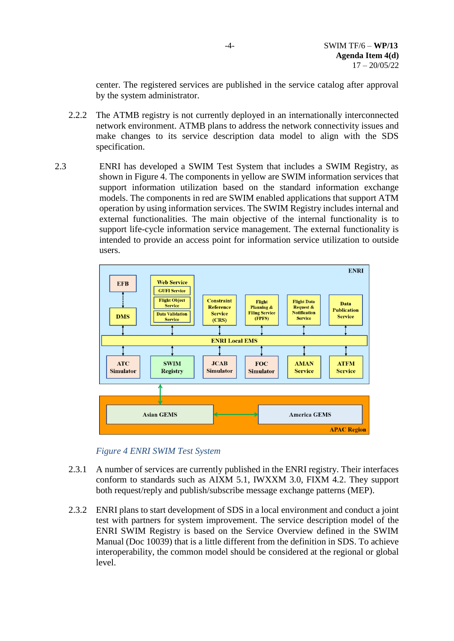center. The registered services are published in the service catalog after approval by the system administrator.

- 2.2.2 The ATMB registry is not currently deployed in an internationally interconnected network environment. ATMB plans to address the network connectivity issues and make changes to its service description data model to align with the SDS specification.
- 2.3 ENRI has developed a SWIM Test System that includes a SWIM Registry, as shown in Figure 4. The components in yellow are SWIM information services that support information utilization based on the standard information exchange models. The components in red are SWIM enabled applications that support ATM operation by using information services. The SWIM Registry includes internal and external functionalities. The main objective of the internal functionality is to support life-cycle information service management. The external functionality is intended to provide an access point for information service utilization to outside users.





- 2.3.1 A number of services are currently published in the ENRI registry. Their interfaces conform to standards such as AIXM 5.1, IWXXM 3.0, FIXM 4.2. They support both request/reply and publish/subscribe message exchange patterns (MEP).
- 2.3.2 ENRI plans to start development of SDS in a local environment and conduct a joint test with partners for system improvement. The service description model of the ENRI SWIM Registry is based on the Service Overview defined in the SWIM Manual (Doc 10039) that is a little different from the definition in SDS. To achieve interoperability, the common model should be considered at the regional or global level.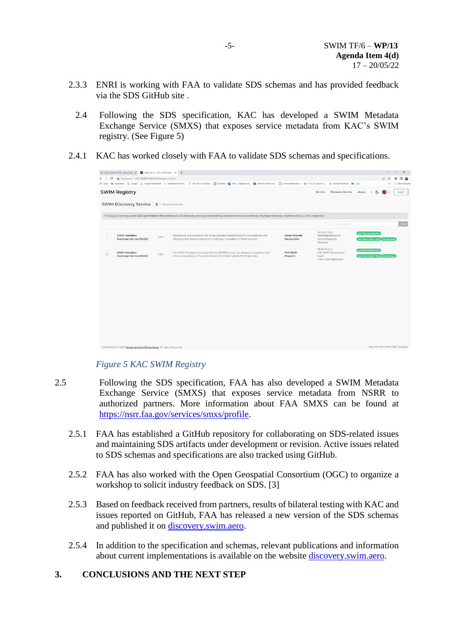- 2.3.3 ENRI is working with FAA to validate SDS schemas and has provided feedback via the SDS GitHub site .
	- 2.4 Following the SDS specification, KAC has developed a SWIM Metadata Exchange Service (SMXS) that exposes service metadata from KAC's SWIM registry. (See Figure 5)
- 2.4.1 KAC has worked closely with FAA to validate SDS schemas and specifications.

|                                             | M SDS Paper for TF/6 - carolium®g X Melcome To - KAC SWIM Regist: X + |       |                                                                                                                                                                                                                           |                               |                                                                   |                             | $\ddotsc$                          | $\sigma$      |
|---------------------------------------------|-----------------------------------------------------------------------|-------|---------------------------------------------------------------------------------------------------------------------------------------------------------------------------------------------------------------------------|-------------------------------|-------------------------------------------------------------------|-----------------------------|------------------------------------|---------------|
| $\mathcal{C}$<br>$\leftarrow$ $\rightarrow$ | A Not secure   112.172.247.116:8000/discovery-service                 |       |                                                                                                                                                                                                                           |                               |                                                                   |                             | $\beta$                            |               |
|                                             |                                                                       |       | Hi Apps * Bookmarks G Google G Google Dashboard U Imported From Fire. 9 The URI Zone Boa. [4] Calendar @ Mail curi@sem-co @ Welcome to the NA. [1] Senice Information. In v10.3.23 Unanet 10 "I World of Solitaire @ Logi |                               |                                                                   |                             |                                    | Other bookman |
|                                             | <b>SWIM Registry</b>                                                  |       |                                                                                                                                                                                                                           |                               | Discovery Service<br>Service                                      | About                       | $\mathfrak{S}$<br>EN               | Login         |
|                                             | <b>SWIM Discovery Service</b> @ > Discovery Service                   |       |                                                                                                                                                                                                                           |                               |                                                                   |                             |                                    |               |
|                                             |                                                                       |       | This page is working under SDS specification that enables service discovery among independently developed and autonomously managed discovery mechanisms (i.e., other registries)                                          |                               | Type to Search                                                    |                             |                                    |               |
|                                             | <b>SWIM Metadata</b><br>Exchange Service (SMXS)                       | 0.5.0 | This service is provided by the Korea Airports Corporation(KAC) to enable service<br>discovery that allows consumers to discover metadata of SWIM services                                                                | Korea Airports<br>Corporation | Sehwan Han<br>hsh91@airport.co.kr<br>Junior Research<br>Engineer  | <b>Get DiscoveryService</b> | Get Peers (other DSs) Get Services |               |
| $\overline{2}$                              | SWIM Metadata<br>Exchange Service (SMXS)                              | 1.0.0 | The SWIM Metadata Exchange Service (SMXS) is a service discovery capability that<br>allows consumers to find and retrieve information about SWIM services.                                                                | <b>FAA SWIM</b><br>Program    | Mark Kaplun<br>FAA SWIM Covernance<br>Lead<br>mark.kaplun@faa.gov | <b>Get DiscoveryService</b> | Get Peers (other DSs) Cet Services |               |
|                                             |                                                                       |       |                                                                                                                                                                                                                           |                               |                                                                   |                             |                                    |               |
|                                             |                                                                       |       |                                                                                                                                                                                                                           |                               |                                                                   |                             |                                    |               |
|                                             |                                                                       |       |                                                                                                                                                                                                                           |                               |                                                                   |                             |                                    |               |
|                                             |                                                                       |       |                                                                                                                                                                                                                           |                               |                                                                   |                             |                                    |               |
|                                             |                                                                       |       |                                                                                                                                                                                                                           |                               |                                                                   |                             |                                    |               |
|                                             | COPYRIGHT @ 2022 Korea Airports Corporation, All rights Reserved      |       |                                                                                                                                                                                                                           |                               |                                                                   |                             | Only for ROK SWIM R&D Purpose      |               |

## *Figure 5 KAC SWIM Registry*

- 2.5 Following the SDS specification, FAA has also developed a SWIM Metadata Exchange Service (SMXS) that exposes service metadata from NSRR to authorized partners. More information about FAA SMXS can be found at [https://nsrr.faa.gov/services/smxs/profile.](https://nsrr.faa.gov/services/smxs/profile)
	- 2.5.1 FAA has established a GitHub repository for collaborating on SDS-related issues and maintaining SDS artifacts under development or revision. Active issues related to SDS schemas and specifications are also tracked using GitHub.
	- 2.5.2 FAA has also worked with the Open Geospatial Consortium (OGC) to organize a workshop to solicit industry feedback on SDS. [\[3\]](#page-6-0)
	- 2.5.3 Based on feedback received from partners, results of bilateral testing with KAC and issues reported on GitHub, FAA has released a new version of the SDS schemas and published it on [discovery.swim.aero.](https://discovery.swim.aero/)
	- 2.5.4 In addition to the specification and schemas, relevant publications and information about current implementations is available on the website [discovery.swim.aero.](https://discovery.swim.aero/)

## **3. CONCLUSIONS AND THE NEXT STEP**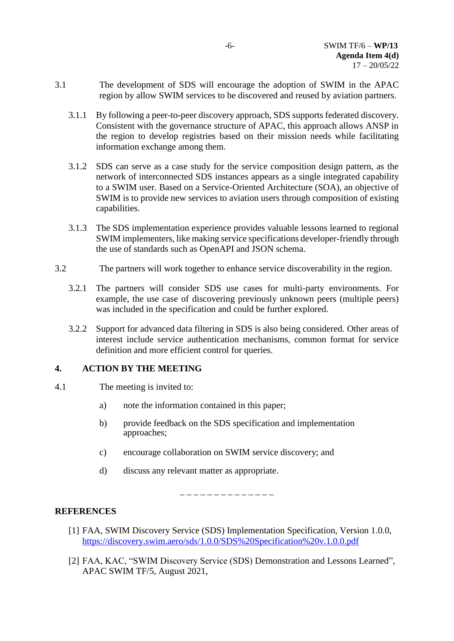- 3.1 The development of SDS will encourage the adoption of SWIM in the APAC region by allow SWIM services to be discovered and reused by aviation partners.
	- 3.1.1 By following a peer-to-peer discovery approach, SDS supports federated discovery. Consistent with the governance structure of APAC, this approach allows ANSP in the region to develop registries based on their mission needs while facilitating information exchange among them.
	- 3.1.2 SDS can serve as a case study for the service composition design pattern, as the network of interconnected SDS instances appears as a single integrated capability to a SWIM user. Based on a Service-Oriented Architecture (SOA), an objective of SWIM is to provide new services to aviation users through composition of existing capabilities.
	- 3.1.3 The SDS implementation experience provides valuable lessons learned to regional SWIM implementers, like making service specifications developer-friendly through the use of standards such as OpenAPI and JSON schema.
- 3.2 The partners will work together to enhance service discoverability in the region.
	- 3.2.1 The partners will consider SDS use cases for multi-party environments. For example, the use case of discovering previously unknown peers (multiple peers) was included in the specification and could be further explored.
	- 3.2.2 Support for advanced data filtering in SDS is also being considered. Other areas of interest include service authentication mechanisms, common format for service definition and more efficient control for queries.

## **4. ACTION BY THE MEETING**

- 4.1 The meeting is invited to:
	- a) note the information contained in this paper;
	- b) provide feedback on the SDS specification and implementation approaches;
	- c) encourage collaboration on SWIM service discovery; and
	- d) discuss any relevant matter as appropriate.

\_ \_ \_ \_ \_ \_ \_ \_ \_ \_ \_ \_ \_ \_

# **REFERENCES**

- <span id="page-5-0"></span>[1] FAA, SWIM Discovery Service (SDS) Implementation Specification, Version 1.0.0, <https://discovery.swim.aero/sds/1.0.0/SDS%20Specification%20v.1.0.0.pdf>
- <span id="page-5-1"></span>[2] FAA, KAC, "SWIM Discovery Service (SDS) Demonstration and Lessons Learned", APAC SWIM TF/5, August 2021,